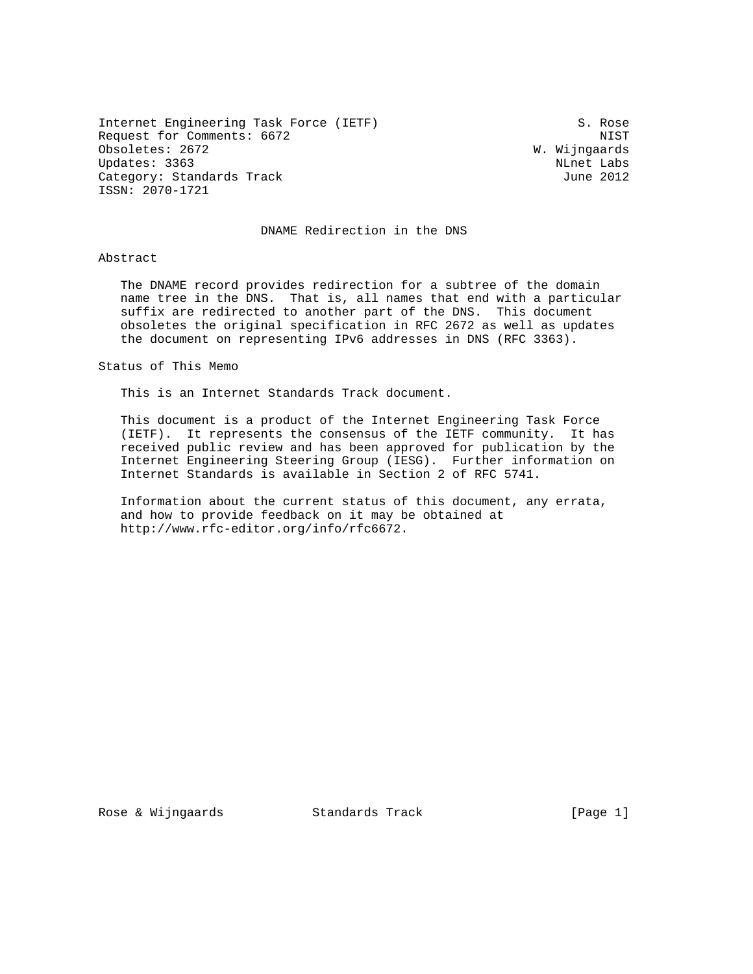Internet Engineering Task Force (IETF) S. Rose Request for Comments: 6672<br>Obsoletes: 2672 NIST Number of Number of Number of Number of Number of Number of Number of Number of Number of Obsoletes: 2672 Updates: 3363 NLnet Labs Category: Standards Track June 2012 ISSN: 2070-1721

#### DNAME Redirection in the DNS

#### Abstract

 The DNAME record provides redirection for a subtree of the domain name tree in the DNS. That is, all names that end with a particular suffix are redirected to another part of the DNS. This document obsoletes the original specification in RFC 2672 as well as updates the document on representing IPv6 addresses in DNS (RFC 3363).

Status of This Memo

This is an Internet Standards Track document.

 This document is a product of the Internet Engineering Task Force (IETF). It represents the consensus of the IETF community. It has received public review and has been approved for publication by the Internet Engineering Steering Group (IESG). Further information on Internet Standards is available in Section 2 of RFC 5741.

 Information about the current status of this document, any errata, and how to provide feedback on it may be obtained at http://www.rfc-editor.org/info/rfc6672.

Rose & Wijngaards Standards Track [Page 1]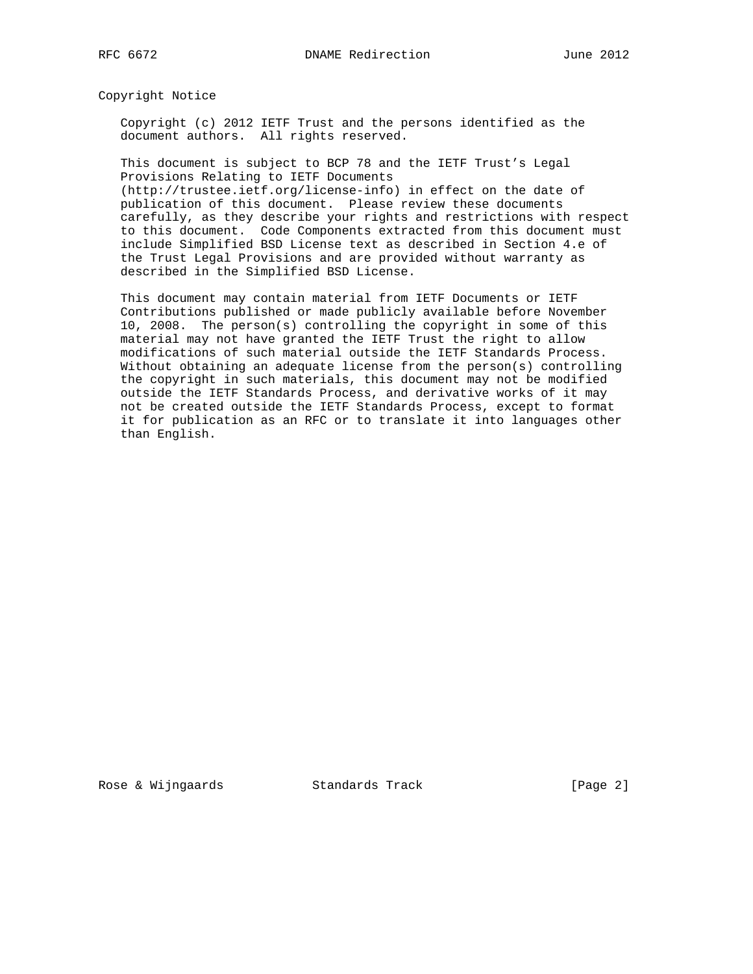Copyright Notice

 Copyright (c) 2012 IETF Trust and the persons identified as the document authors. All rights reserved.

 This document is subject to BCP 78 and the IETF Trust's Legal Provisions Relating to IETF Documents (http://trustee.ietf.org/license-info) in effect on the date of

 publication of this document. Please review these documents carefully, as they describe your rights and restrictions with respect to this document. Code Components extracted from this document must include Simplified BSD License text as described in Section 4.e of the Trust Legal Provisions and are provided without warranty as described in the Simplified BSD License.

 This document may contain material from IETF Documents or IETF Contributions published or made publicly available before November 10, 2008. The person(s) controlling the copyright in some of this material may not have granted the IETF Trust the right to allow modifications of such material outside the IETF Standards Process. Without obtaining an adequate license from the person(s) controlling the copyright in such materials, this document may not be modified outside the IETF Standards Process, and derivative works of it may not be created outside the IETF Standards Process, except to format it for publication as an RFC or to translate it into languages other than English.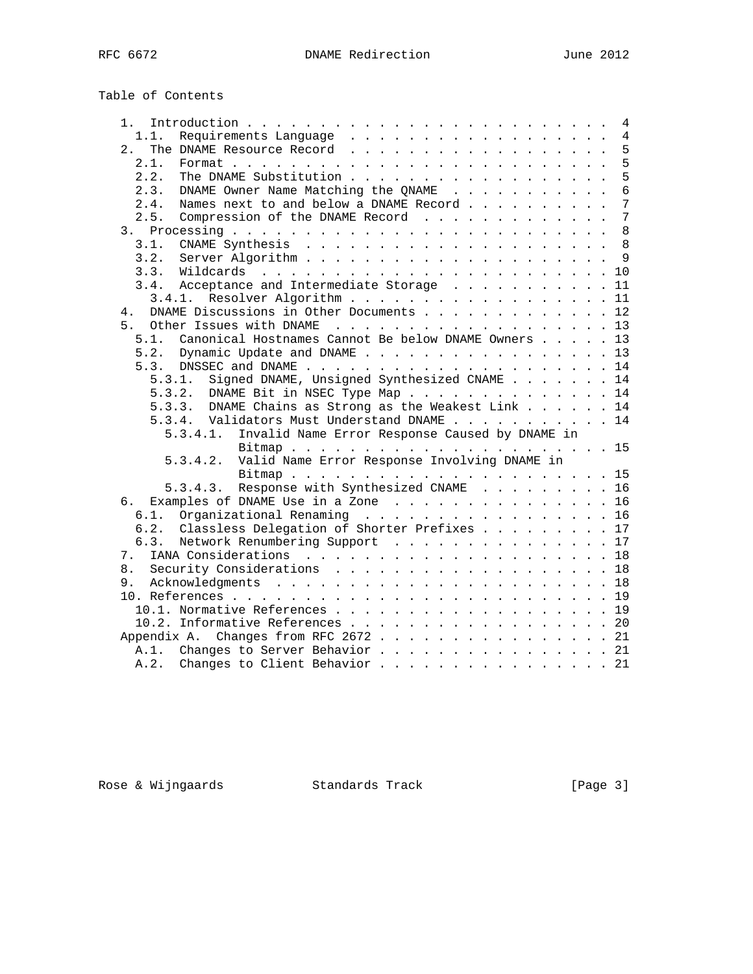# Table of Contents

| 1. .           | 4                                                          |
|----------------|------------------------------------------------------------|
| 1.1.           | 4                                                          |
| 2.             | 5                                                          |
| 2.1.           | 5                                                          |
| 2.2.           | 5                                                          |
| 2.3.           | $\overline{6}$<br>DNAME Owner Name Matching the QNAME      |
| 2.4.           | 7<br>Names next to and below a DNAME Record                |
| 2.5.           | $\overline{7}$<br>Compression of the DNAME Record          |
|                | 8                                                          |
| 3.1.           | 8                                                          |
| 3.2.           | 9                                                          |
|                |                                                            |
|                | 3.4. Acceptance and Intermediate Storage 11                |
| 3.4.1.         | Resolver Algorithm 11                                      |
| 4.             | DNAME Discussions in Other Documents 12                    |
| 5 <sub>1</sub> | Other Issues with DNAME 13                                 |
| 5.1.           | Canonical Hostnames Cannot Be below DNAME Owners 13        |
|                | 5.2. Dynamic Update and DNAME 13                           |
|                |                                                            |
| 5.3.1.         | Signed DNAME, Unsigned Synthesized CNAME 14                |
| 5.3.2.         | DNAME Bit in NSEC Type Map 14                              |
|                | 5.3.3. DNAME Chains as Strong as the Weakest Link 14       |
|                | 5.3.4. Validators Must Understand DNAME 14                 |
|                | Invalid Name Error Response Caused by DNAME in<br>5.3.4.1. |
|                |                                                            |
|                | Valid Name Error Response Involving DNAME in<br>5.3.4.2.   |
|                |                                                            |
|                | 5.3.4.3. Response with Synthesized CNAME 16                |
|                | 6. Examples of DNAME Use in a Zone 16                      |
| 6.1.           | Organizational Renaming 16                                 |
| 6.2.           | Classless Delegation of Shorter Prefixes 17                |
| 6.3.           | Network Renumbering Support 17                             |
| 7.             |                                                            |
| 8.             | Security Considerations 18                                 |
| 9.             |                                                            |
|                |                                                            |
|                | 10.1. Normative References 19                              |
|                | 10.2. Informative References 20                            |
|                | Appendix A. Changes from RFC 2672 21                       |
|                | A.1. Changes to Server Behavior 21                         |
|                | A.2. Changes to Client Behavior 21                         |
|                |                                                            |

Rose & Wijngaards Standards Track [Page 3]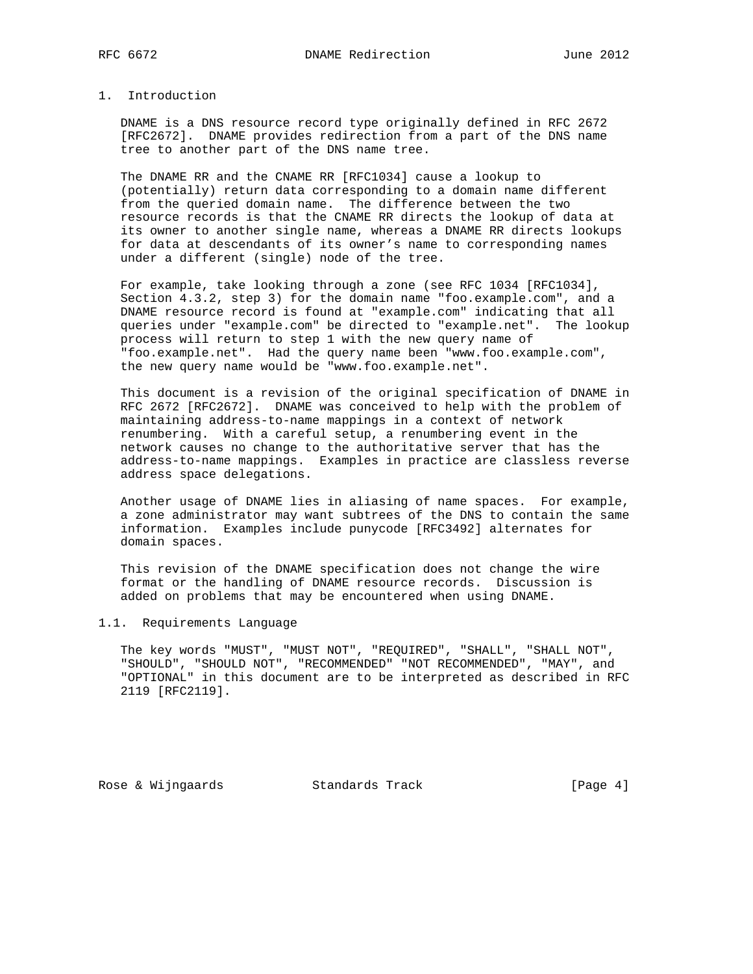## 1. Introduction

 DNAME is a DNS resource record type originally defined in RFC 2672 [RFC2672]. DNAME provides redirection from a part of the DNS name tree to another part of the DNS name tree.

 The DNAME RR and the CNAME RR [RFC1034] cause a lookup to (potentially) return data corresponding to a domain name different from the queried domain name. The difference between the two resource records is that the CNAME RR directs the lookup of data at its owner to another single name, whereas a DNAME RR directs lookups for data at descendants of its owner's name to corresponding names under a different (single) node of the tree.

 For example, take looking through a zone (see RFC 1034 [RFC1034], Section 4.3.2, step 3) for the domain name "foo.example.com", and a DNAME resource record is found at "example.com" indicating that all queries under "example.com" be directed to "example.net". The lookup process will return to step 1 with the new query name of "foo.example.net". Had the query name been "www.foo.example.com", the new query name would be "www.foo.example.net".

 This document is a revision of the original specification of DNAME in RFC 2672 [RFC2672]. DNAME was conceived to help with the problem of maintaining address-to-name mappings in a context of network renumbering. With a careful setup, a renumbering event in the network causes no change to the authoritative server that has the address-to-name mappings. Examples in practice are classless reverse address space delegations.

 Another usage of DNAME lies in aliasing of name spaces. For example, a zone administrator may want subtrees of the DNS to contain the same information. Examples include punycode [RFC3492] alternates for domain spaces.

 This revision of the DNAME specification does not change the wire format or the handling of DNAME resource records. Discussion is added on problems that may be encountered when using DNAME.

#### 1.1. Requirements Language

 The key words "MUST", "MUST NOT", "REQUIRED", "SHALL", "SHALL NOT", "SHOULD", "SHOULD NOT", "RECOMMENDED" "NOT RECOMMENDED", "MAY", and "OPTIONAL" in this document are to be interpreted as described in RFC 2119 [RFC2119].

Rose & Wijngaards Standards Track [Page 4]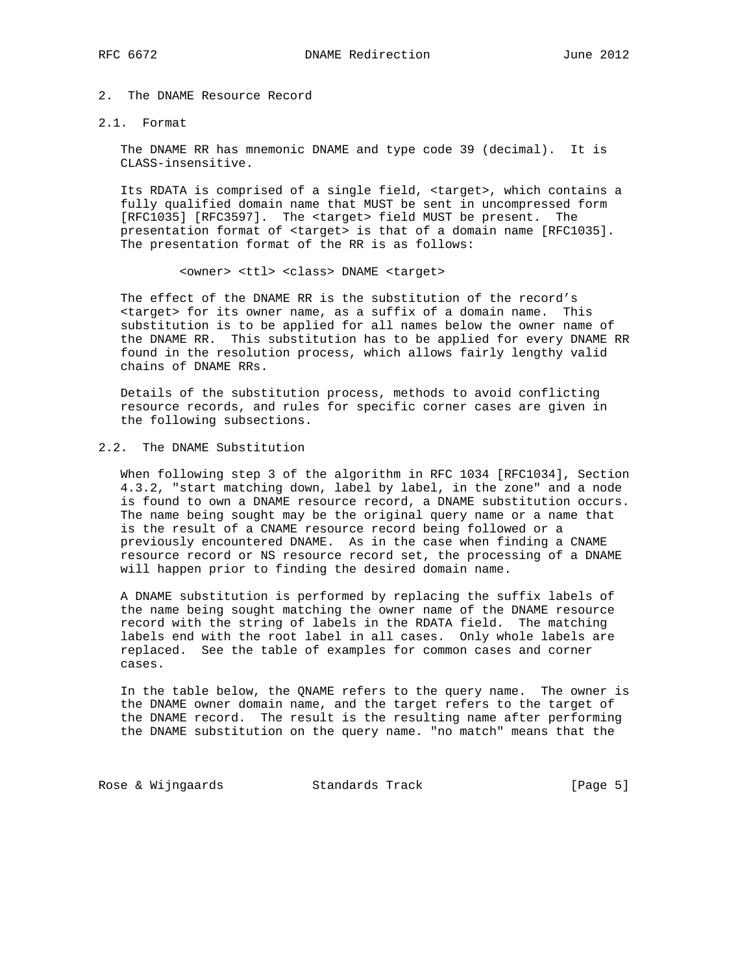## 2. The DNAME Resource Record

#### 2.1. Format

 The DNAME RR has mnemonic DNAME and type code 39 (decimal). It is CLASS-insensitive.

 Its RDATA is comprised of a single field, <target>, which contains a fully qualified domain name that MUST be sent in uncompressed form [RFC1035] [RFC3597]. The <target> field MUST be present. The presentation format of <target> is that of a domain name [RFC1035]. The presentation format of the RR is as follows:

#### <owner> <ttl> <class> DNAME <target>

 The effect of the DNAME RR is the substitution of the record's <target> for its owner name, as a suffix of a domain name. This substitution is to be applied for all names below the owner name of the DNAME RR. This substitution has to be applied for every DNAME RR found in the resolution process, which allows fairly lengthy valid chains of DNAME RRs.

 Details of the substitution process, methods to avoid conflicting resource records, and rules for specific corner cases are given in the following subsections.

## 2.2. The DNAME Substitution

 When following step 3 of the algorithm in RFC 1034 [RFC1034], Section 4.3.2, "start matching down, label by label, in the zone" and a node is found to own a DNAME resource record, a DNAME substitution occurs. The name being sought may be the original query name or a name that is the result of a CNAME resource record being followed or a previously encountered DNAME. As in the case when finding a CNAME resource record or NS resource record set, the processing of a DNAME will happen prior to finding the desired domain name.

 A DNAME substitution is performed by replacing the suffix labels of the name being sought matching the owner name of the DNAME resource record with the string of labels in the RDATA field. The matching labels end with the root label in all cases. Only whole labels are replaced. See the table of examples for common cases and corner cases.

 In the table below, the QNAME refers to the query name. The owner is the DNAME owner domain name, and the target refers to the target of the DNAME record. The result is the resulting name after performing the DNAME substitution on the query name. "no match" means that the

Rose & Wijngaards Standards Track (Page 5)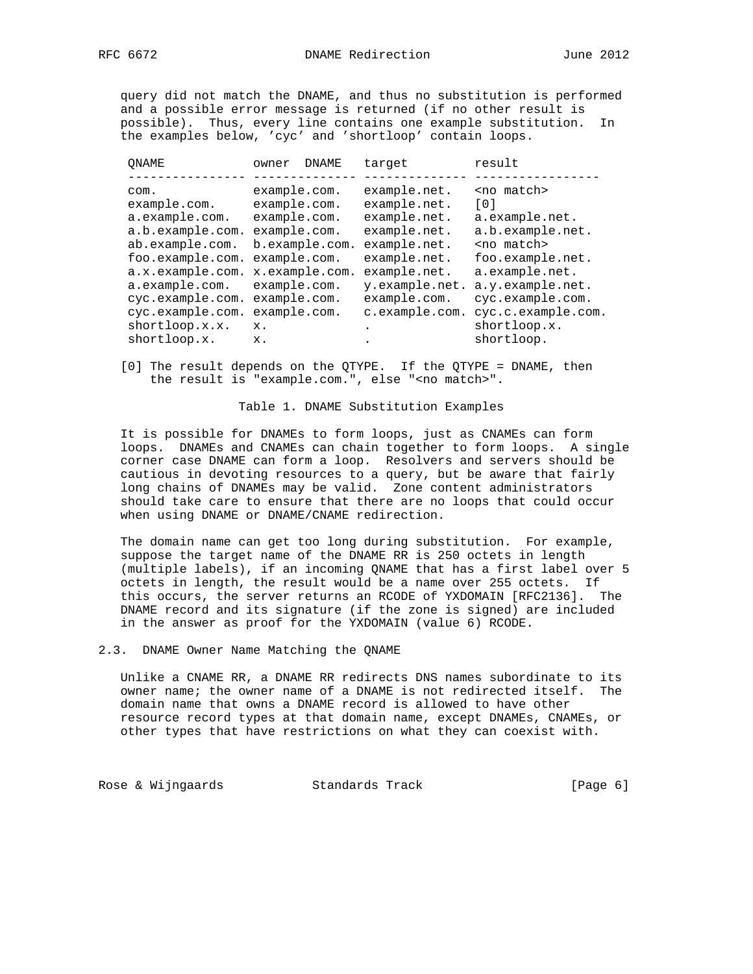query did not match the DNAME, and thus no substitution is performed and a possible error message is returned (if no other result is possible). Thus, every line contains one example substitution. In the examples below, 'cyc' and 'shortloop' contain loops.

| ONAME            | owner        | DNAME          | target         | result             |
|------------------|--------------|----------------|----------------|--------------------|
|                  |              |                |                |                    |
| com.             | example.com. |                | example.net.   | <no match=""></no> |
| example.com.     | example.com. |                | example.net.   | $\lceil 0 \rceil$  |
| a.example.com.   | example.com. |                | example.net.   | a.example.net.     |
| a.b.example.com. | example.com. |                | example.net.   | a.b.example.net.   |
| ab.example.com.  |              | b.example.com. | example.net.   | <no match=""></no> |
| foo.example.com. | example.com. |                | example.net.   | foo.example.net.   |
| a.x.example.com. |              | x.example.com. | example.net.   | a.example.net.     |
| a.example.com.   | example.com. |                | y.example.net. | a.y.example.net.   |
| cyc.example.com. | example.com. |                | example.com.   | cyc.example.com.   |
| cyc.example.com. | example.com. |                | c.example.com. | cyc.c.example.com. |
| shortloop.x.x.   | $X$ .        |                | ٠              | shortloop.x.       |
| shortloop.x.     | $X$ .        |                | ٠              | shortloop.         |
|                  |              |                |                |                    |

 [0] The result depends on the QTYPE. If the QTYPE = DNAME, then the result is "example.com.", else "<no match>".

#### Table 1. DNAME Substitution Examples

 It is possible for DNAMEs to form loops, just as CNAMEs can form loops. DNAMEs and CNAMEs can chain together to form loops. A single corner case DNAME can form a loop. Resolvers and servers should be cautious in devoting resources to a query, but be aware that fairly long chains of DNAMEs may be valid. Zone content administrators should take care to ensure that there are no loops that could occur when using DNAME or DNAME/CNAME redirection.

 The domain name can get too long during substitution. For example, suppose the target name of the DNAME RR is 250 octets in length (multiple labels), if an incoming QNAME that has a first label over 5 octets in length, the result would be a name over 255 octets. If this occurs, the server returns an RCODE of YXDOMAIN [RFC2136]. The DNAME record and its signature (if the zone is signed) are included in the answer as proof for the YXDOMAIN (value 6) RCODE.

#### 2.3. DNAME Owner Name Matching the QNAME

 Unlike a CNAME RR, a DNAME RR redirects DNS names subordinate to its owner name; the owner name of a DNAME is not redirected itself. The domain name that owns a DNAME record is allowed to have other resource record types at that domain name, except DNAMEs, CNAMEs, or other types that have restrictions on what they can coexist with.

Rose & Wijngaards Standards Track (Page 6)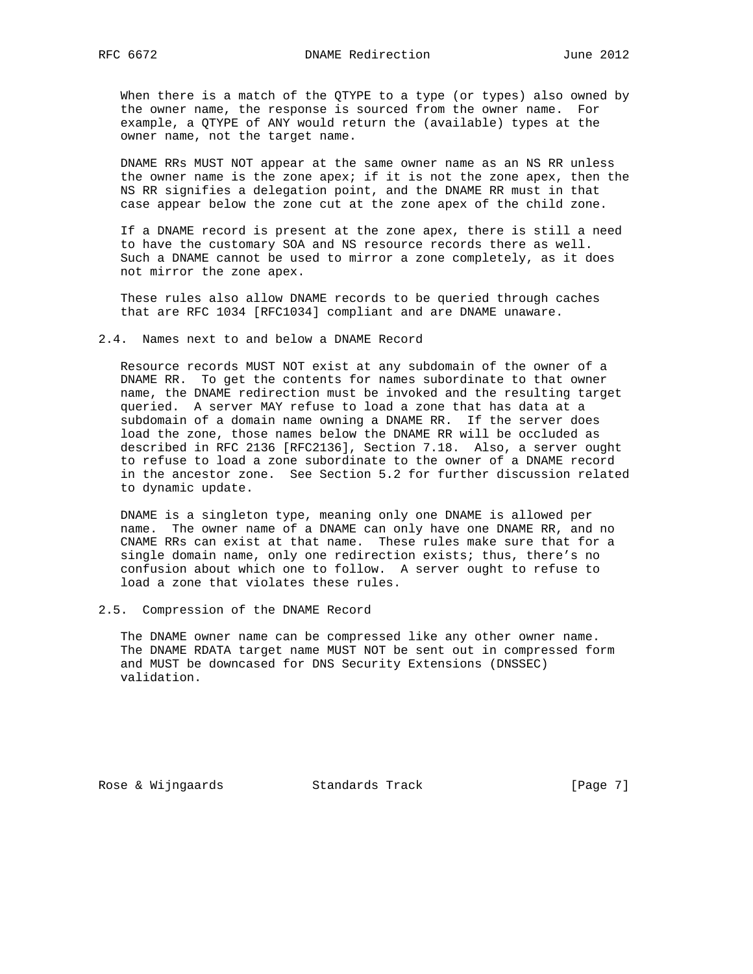When there is a match of the QTYPE to a type (or types) also owned by the owner name, the response is sourced from the owner name. For example, a QTYPE of ANY would return the (available) types at the owner name, not the target name.

 DNAME RRs MUST NOT appear at the same owner name as an NS RR unless the owner name is the zone apex; if it is not the zone apex, then the NS RR signifies a delegation point, and the DNAME RR must in that case appear below the zone cut at the zone apex of the child zone.

 If a DNAME record is present at the zone apex, there is still a need to have the customary SOA and NS resource records there as well. Such a DNAME cannot be used to mirror a zone completely, as it does not mirror the zone apex.

 These rules also allow DNAME records to be queried through caches that are RFC 1034 [RFC1034] compliant and are DNAME unaware.

#### 2.4. Names next to and below a DNAME Record

 Resource records MUST NOT exist at any subdomain of the owner of a DNAME RR. To get the contents for names subordinate to that owner name, the DNAME redirection must be invoked and the resulting target queried. A server MAY refuse to load a zone that has data at a subdomain of a domain name owning a DNAME RR. If the server does load the zone, those names below the DNAME RR will be occluded as described in RFC 2136 [RFC2136], Section 7.18. Also, a server ought to refuse to load a zone subordinate to the owner of a DNAME record in the ancestor zone. See Section 5.2 for further discussion related to dynamic update.

 DNAME is a singleton type, meaning only one DNAME is allowed per name. The owner name of a DNAME can only have one DNAME RR, and no CNAME RRs can exist at that name. These rules make sure that for a single domain name, only one redirection exists; thus, there's no confusion about which one to follow. A server ought to refuse to load a zone that violates these rules.

#### 2.5. Compression of the DNAME Record

 The DNAME owner name can be compressed like any other owner name. The DNAME RDATA target name MUST NOT be sent out in compressed form and MUST be downcased for DNS Security Extensions (DNSSEC) validation.

Rose & Wijngaards Standards Track [Page 7]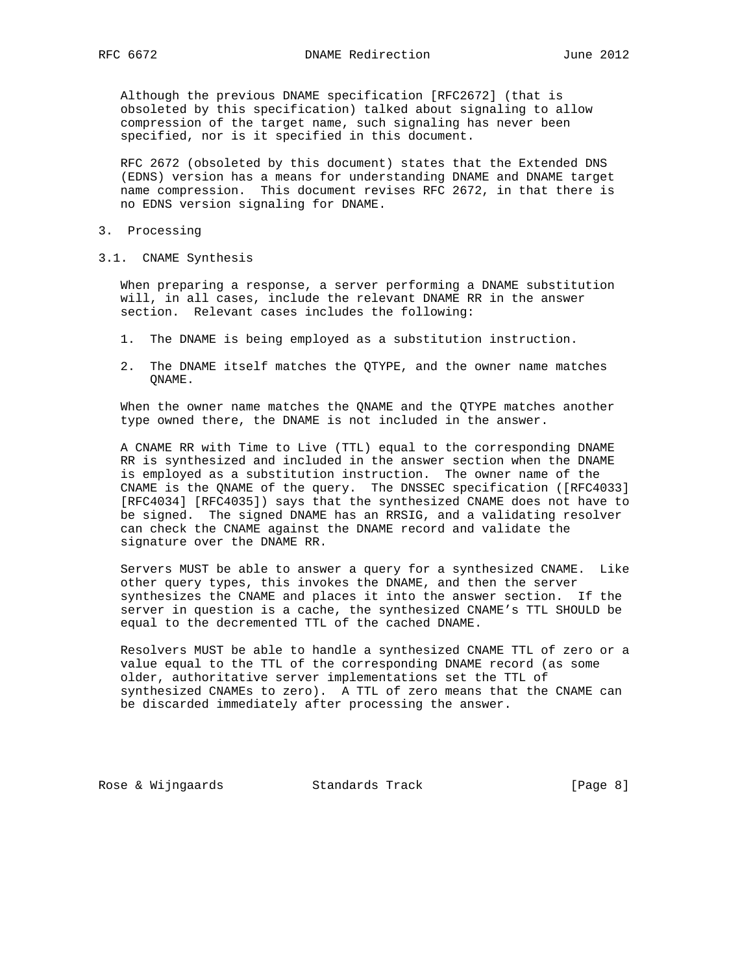Although the previous DNAME specification [RFC2672] (that is obsoleted by this specification) talked about signaling to allow compression of the target name, such signaling has never been specified, nor is it specified in this document.

 RFC 2672 (obsoleted by this document) states that the Extended DNS (EDNS) version has a means for understanding DNAME and DNAME target name compression. This document revises RFC 2672, in that there is no EDNS version signaling for DNAME.

- 3. Processing
- 3.1. CNAME Synthesis

 When preparing a response, a server performing a DNAME substitution will, in all cases, include the relevant DNAME RR in the answer section. Relevant cases includes the following:

- 1. The DNAME is being employed as a substitution instruction.
- 2. The DNAME itself matches the QTYPE, and the owner name matches QNAME.

 When the owner name matches the QNAME and the QTYPE matches another type owned there, the DNAME is not included in the answer.

 A CNAME RR with Time to Live (TTL) equal to the corresponding DNAME RR is synthesized and included in the answer section when the DNAME is employed as a substitution instruction. The owner name of the CNAME is the QNAME of the query. The DNSSEC specification ([RFC4033] [RFC4034] [RFC4035]) says that the synthesized CNAME does not have to be signed. The signed DNAME has an RRSIG, and a validating resolver can check the CNAME against the DNAME record and validate the signature over the DNAME RR.

 Servers MUST be able to answer a query for a synthesized CNAME. Like other query types, this invokes the DNAME, and then the server synthesizes the CNAME and places it into the answer section. If the server in question is a cache, the synthesized CNAME's TTL SHOULD be equal to the decremented TTL of the cached DNAME.

 Resolvers MUST be able to handle a synthesized CNAME TTL of zero or a value equal to the TTL of the corresponding DNAME record (as some older, authoritative server implementations set the TTL of synthesized CNAMEs to zero). A TTL of zero means that the CNAME can be discarded immediately after processing the answer.

Rose & Wijngaards Standards Track [Page 8]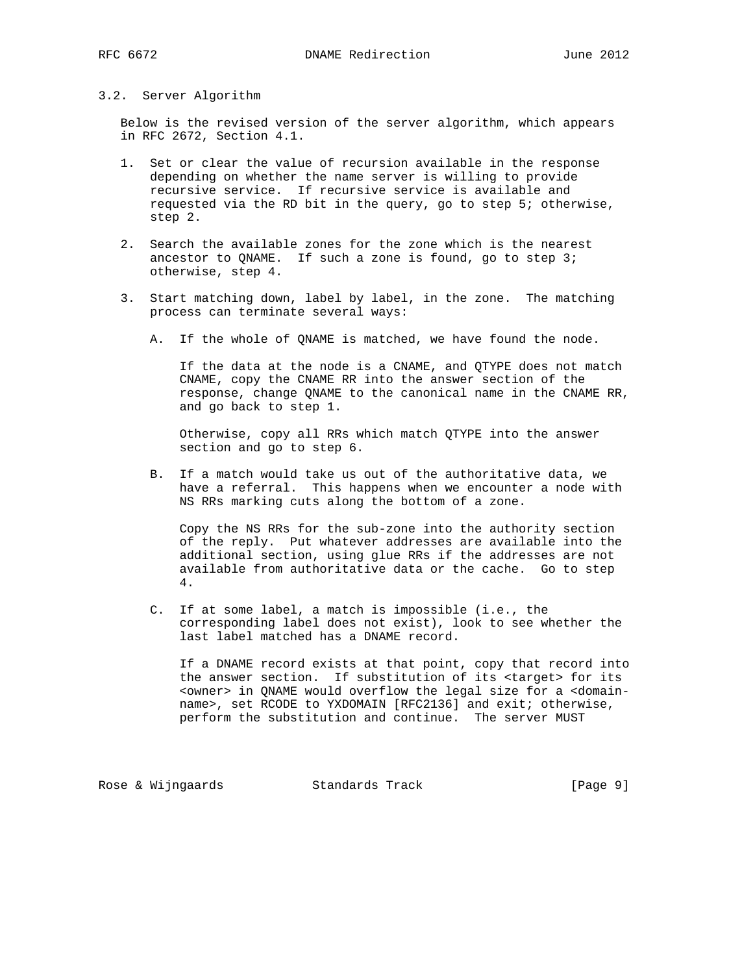#### 3.2. Server Algorithm

 Below is the revised version of the server algorithm, which appears in RFC 2672, Section 4.1.

- 1. Set or clear the value of recursion available in the response depending on whether the name server is willing to provide recursive service. If recursive service is available and requested via the RD bit in the query, go to step 5; otherwise, step 2.
- 2. Search the available zones for the zone which is the nearest ancestor to QNAME. If such a zone is found, go to step 3; otherwise, step 4.
- 3. Start matching down, label by label, in the zone. The matching process can terminate several ways:
	- A. If the whole of QNAME is matched, we have found the node.

 If the data at the node is a CNAME, and QTYPE does not match CNAME, copy the CNAME RR into the answer section of the response, change QNAME to the canonical name in the CNAME RR, and go back to step 1.

 Otherwise, copy all RRs which match QTYPE into the answer section and go to step 6.

 B. If a match would take us out of the authoritative data, we have a referral. This happens when we encounter a node with NS RRs marking cuts along the bottom of a zone.

 Copy the NS RRs for the sub-zone into the authority section of the reply. Put whatever addresses are available into the additional section, using glue RRs if the addresses are not available from authoritative data or the cache. Go to step 4.

 C. If at some label, a match is impossible (i.e., the corresponding label does not exist), look to see whether the last label matched has a DNAME record.

 If a DNAME record exists at that point, copy that record into the answer section. If substitution of its <target> for its <owner> in QNAME would overflow the legal size for a <domain name>, set RCODE to YXDOMAIN [RFC2136] and exit; otherwise, perform the substitution and continue. The server MUST

Rose & Wijngaards Standards Track [Page 9]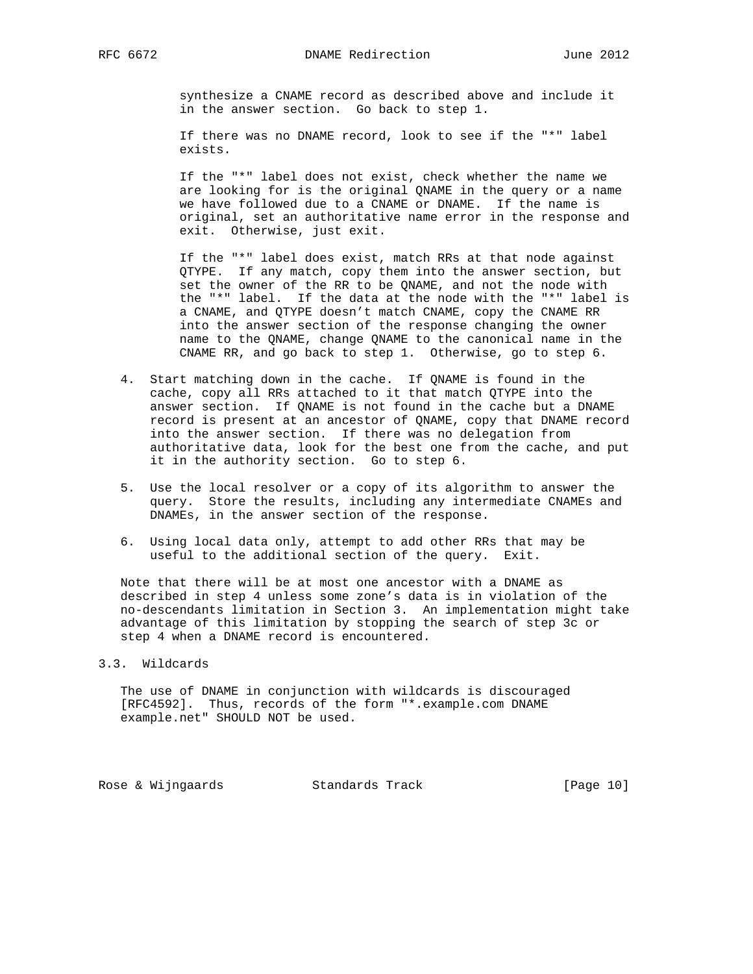synthesize a CNAME record as described above and include it in the answer section. Go back to step 1.

 If there was no DNAME record, look to see if the "\*" label exists.

 If the "\*" label does not exist, check whether the name we are looking for is the original QNAME in the query or a name we have followed due to a CNAME or DNAME. If the name is original, set an authoritative name error in the response and exit. Otherwise, just exit.

 If the "\*" label does exist, match RRs at that node against QTYPE. If any match, copy them into the answer section, but set the owner of the RR to be QNAME, and not the node with the "\*" label. If the data at the node with the "\*" label is a CNAME, and QTYPE doesn't match CNAME, copy the CNAME RR into the answer section of the response changing the owner name to the QNAME, change QNAME to the canonical name in the CNAME RR, and go back to step 1. Otherwise, go to step 6.

- 4. Start matching down in the cache. If QNAME is found in the cache, copy all RRs attached to it that match QTYPE into the answer section. If QNAME is not found in the cache but a DNAME record is present at an ancestor of QNAME, copy that DNAME record into the answer section. If there was no delegation from authoritative data, look for the best one from the cache, and put it in the authority section. Go to step 6.
- 5. Use the local resolver or a copy of its algorithm to answer the query. Store the results, including any intermediate CNAMEs and DNAMEs, in the answer section of the response.
- 6. Using local data only, attempt to add other RRs that may be useful to the additional section of the query. Exit.

 Note that there will be at most one ancestor with a DNAME as described in step 4 unless some zone's data is in violation of the no-descendants limitation in Section 3. An implementation might take advantage of this limitation by stopping the search of step 3c or step 4 when a DNAME record is encountered.

#### 3.3. Wildcards

 The use of DNAME in conjunction with wildcards is discouraged [RFC4592]. Thus, records of the form "\*.example.com DNAME example.net" SHOULD NOT be used.

Rose & Wijngaards Standards Track [Page 10]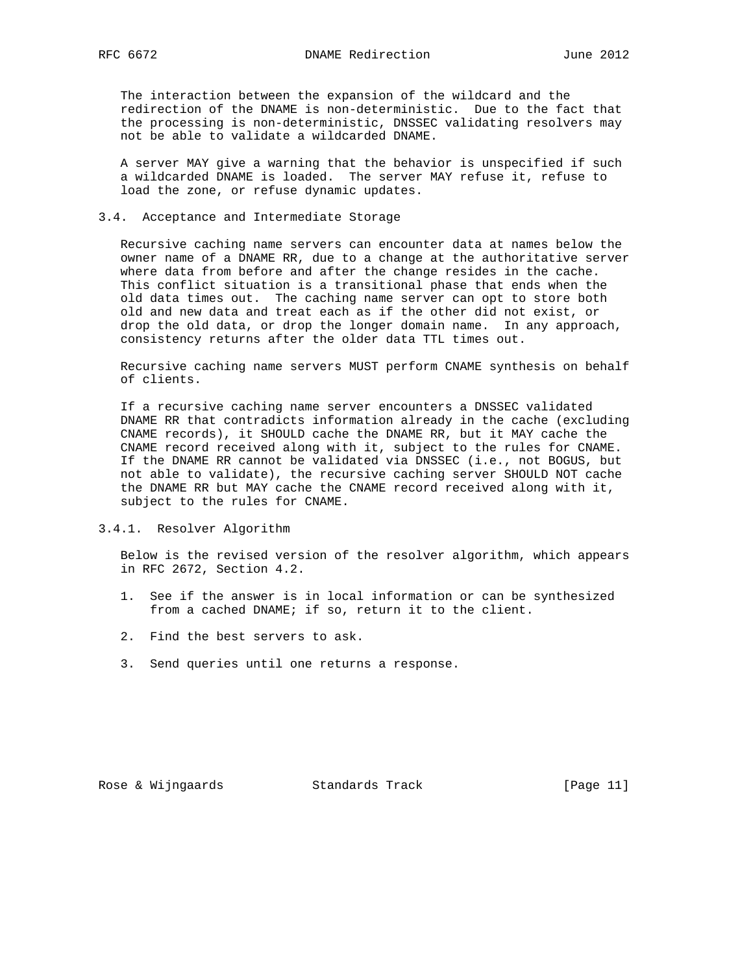The interaction between the expansion of the wildcard and the redirection of the DNAME is non-deterministic. Due to the fact that the processing is non-deterministic, DNSSEC validating resolvers may not be able to validate a wildcarded DNAME.

 A server MAY give a warning that the behavior is unspecified if such a wildcarded DNAME is loaded. The server MAY refuse it, refuse to load the zone, or refuse dynamic updates.

### 3.4. Acceptance and Intermediate Storage

 Recursive caching name servers can encounter data at names below the owner name of a DNAME RR, due to a change at the authoritative server where data from before and after the change resides in the cache. This conflict situation is a transitional phase that ends when the old data times out. The caching name server can opt to store both old and new data and treat each as if the other did not exist, or drop the old data, or drop the longer domain name. In any approach, consistency returns after the older data TTL times out.

 Recursive caching name servers MUST perform CNAME synthesis on behalf of clients.

 If a recursive caching name server encounters a DNSSEC validated DNAME RR that contradicts information already in the cache (excluding CNAME records), it SHOULD cache the DNAME RR, but it MAY cache the CNAME record received along with it, subject to the rules for CNAME. If the DNAME RR cannot be validated via DNSSEC (i.e., not BOGUS, but not able to validate), the recursive caching server SHOULD NOT cache the DNAME RR but MAY cache the CNAME record received along with it, subject to the rules for CNAME.

3.4.1. Resolver Algorithm

 Below is the revised version of the resolver algorithm, which appears in RFC 2672, Section 4.2.

- 1. See if the answer is in local information or can be synthesized from a cached DNAME; if so, return it to the client.
- 2. Find the best servers to ask.
- 3. Send queries until one returns a response.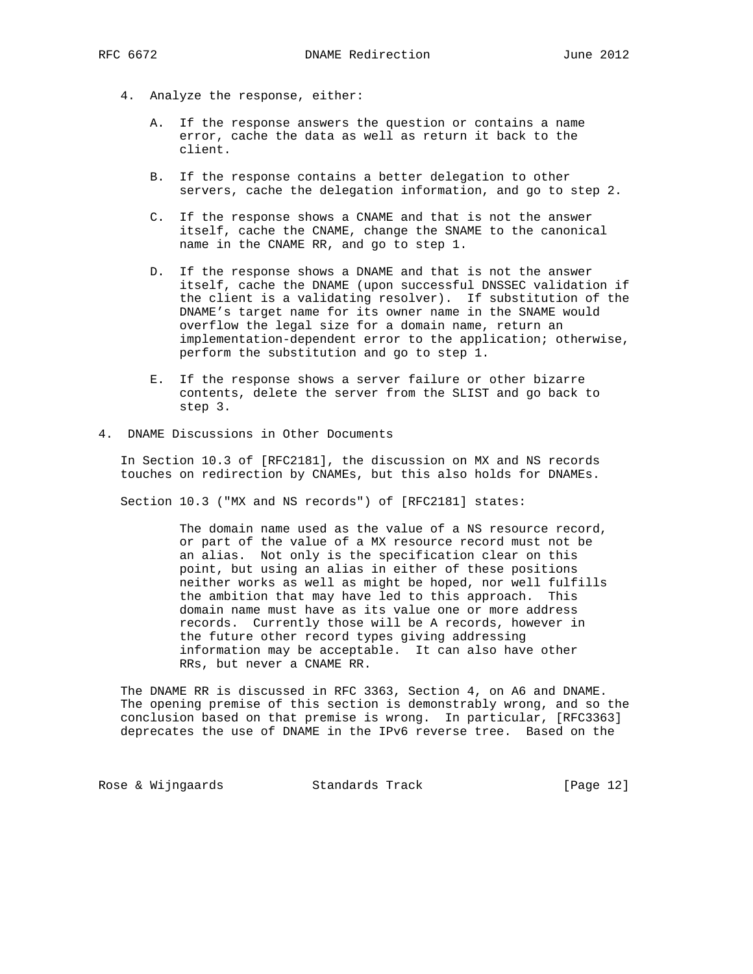- A. If the response answers the question or contains a name error, cache the data as well as return it back to the client.
- B. If the response contains a better delegation to other servers, cache the delegation information, and go to step 2.
- C. If the response shows a CNAME and that is not the answer itself, cache the CNAME, change the SNAME to the canonical name in the CNAME RR, and go to step 1.
- D. If the response shows a DNAME and that is not the answer itself, cache the DNAME (upon successful DNSSEC validation if the client is a validating resolver). If substitution of the DNAME's target name for its owner name in the SNAME would overflow the legal size for a domain name, return an implementation-dependent error to the application; otherwise, perform the substitution and go to step 1.
- E. If the response shows a server failure or other bizarre contents, delete the server from the SLIST and go back to step 3.
- 4. DNAME Discussions in Other Documents

 In Section 10.3 of [RFC2181], the discussion on MX and NS records touches on redirection by CNAMEs, but this also holds for DNAMEs.

Section 10.3 ("MX and NS records") of [RFC2181] states:

 The domain name used as the value of a NS resource record, or part of the value of a MX resource record must not be an alias. Not only is the specification clear on this point, but using an alias in either of these positions neither works as well as might be hoped, nor well fulfills the ambition that may have led to this approach. This domain name must have as its value one or more address records. Currently those will be A records, however in the future other record types giving addressing information may be acceptable. It can also have other RRs, but never a CNAME RR.

 The DNAME RR is discussed in RFC 3363, Section 4, on A6 and DNAME. The opening premise of this section is demonstrably wrong, and so the conclusion based on that premise is wrong. In particular, [RFC3363] deprecates the use of DNAME in the IPv6 reverse tree. Based on the

Rose & Wijngaards Standards Track [Page 12]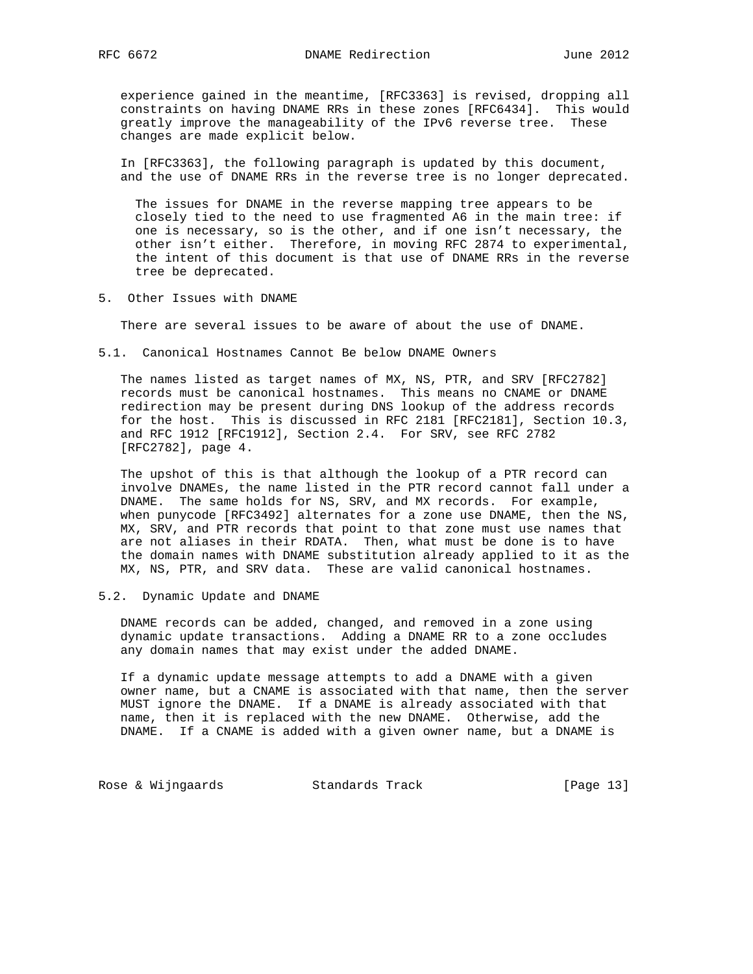experience gained in the meantime, [RFC3363] is revised, dropping all constraints on having DNAME RRs in these zones [RFC6434]. This would greatly improve the manageability of the IPv6 reverse tree. These changes are made explicit below.

 In [RFC3363], the following paragraph is updated by this document, and the use of DNAME RRs in the reverse tree is no longer deprecated.

 The issues for DNAME in the reverse mapping tree appears to be closely tied to the need to use fragmented A6 in the main tree: if one is necessary, so is the other, and if one isn't necessary, the other isn't either. Therefore, in moving RFC 2874 to experimental, the intent of this document is that use of DNAME RRs in the reverse tree be deprecated.

5. Other Issues with DNAME

There are several issues to be aware of about the use of DNAME.

5.1. Canonical Hostnames Cannot Be below DNAME Owners

 The names listed as target names of MX, NS, PTR, and SRV [RFC2782] records must be canonical hostnames. This means no CNAME or DNAME redirection may be present during DNS lookup of the address records for the host. This is discussed in RFC 2181 [RFC2181], Section 10.3, and RFC 1912 [RFC1912], Section 2.4. For SRV, see RFC 2782 [RFC2782], page 4.

 The upshot of this is that although the lookup of a PTR record can involve DNAMEs, the name listed in the PTR record cannot fall under a DNAME. The same holds for NS, SRV, and MX records. For example, when punycode [RFC3492] alternates for a zone use DNAME, then the NS, MX, SRV, and PTR records that point to that zone must use names that are not aliases in their RDATA. Then, what must be done is to have the domain names with DNAME substitution already applied to it as the MX, NS, PTR, and SRV data. These are valid canonical hostnames.

5.2. Dynamic Update and DNAME

 DNAME records can be added, changed, and removed in a zone using dynamic update transactions. Adding a DNAME RR to a zone occludes any domain names that may exist under the added DNAME.

 If a dynamic update message attempts to add a DNAME with a given owner name, but a CNAME is associated with that name, then the server MUST ignore the DNAME. If a DNAME is already associated with that name, then it is replaced with the new DNAME. Otherwise, add the DNAME. If a CNAME is added with a given owner name, but a DNAME is

Rose & Wijngaards Standards Track [Page 13]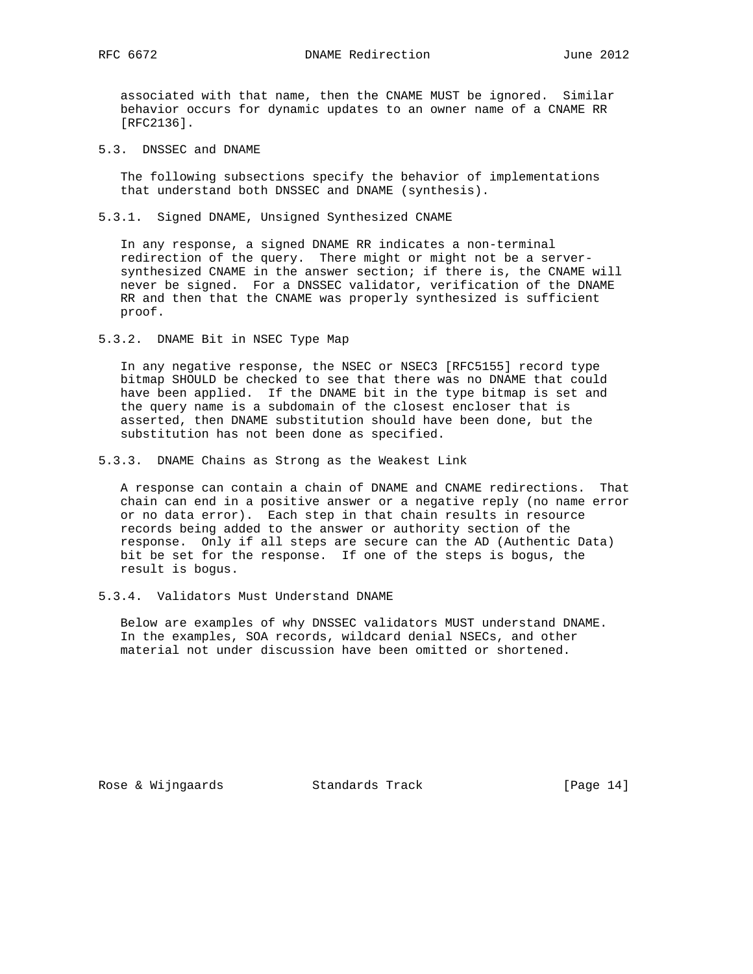RFC 6672 DNAME Redirection June 2012

 associated with that name, then the CNAME MUST be ignored. Similar behavior occurs for dynamic updates to an owner name of a CNAME RR [RFC2136].

5.3. DNSSEC and DNAME

 The following subsections specify the behavior of implementations that understand both DNSSEC and DNAME (synthesis).

5.3.1. Signed DNAME, Unsigned Synthesized CNAME

 In any response, a signed DNAME RR indicates a non-terminal redirection of the query. There might or might not be a server synthesized CNAME in the answer section; if there is, the CNAME will never be signed. For a DNSSEC validator, verification of the DNAME RR and then that the CNAME was properly synthesized is sufficient proof.

5.3.2. DNAME Bit in NSEC Type Map

 In any negative response, the NSEC or NSEC3 [RFC5155] record type bitmap SHOULD be checked to see that there was no DNAME that could have been applied. If the DNAME bit in the type bitmap is set and the query name is a subdomain of the closest encloser that is asserted, then DNAME substitution should have been done, but the substitution has not been done as specified.

5.3.3. DNAME Chains as Strong as the Weakest Link

 A response can contain a chain of DNAME and CNAME redirections. That chain can end in a positive answer or a negative reply (no name error or no data error). Each step in that chain results in resource records being added to the answer or authority section of the response. Only if all steps are secure can the AD (Authentic Data) bit be set for the response. If one of the steps is bogus, the result is bogus.

5.3.4. Validators Must Understand DNAME

 Below are examples of why DNSSEC validators MUST understand DNAME. In the examples, SOA records, wildcard denial NSECs, and other material not under discussion have been omitted or shortened.

Rose & Wijngaards Standards Track [Page 14]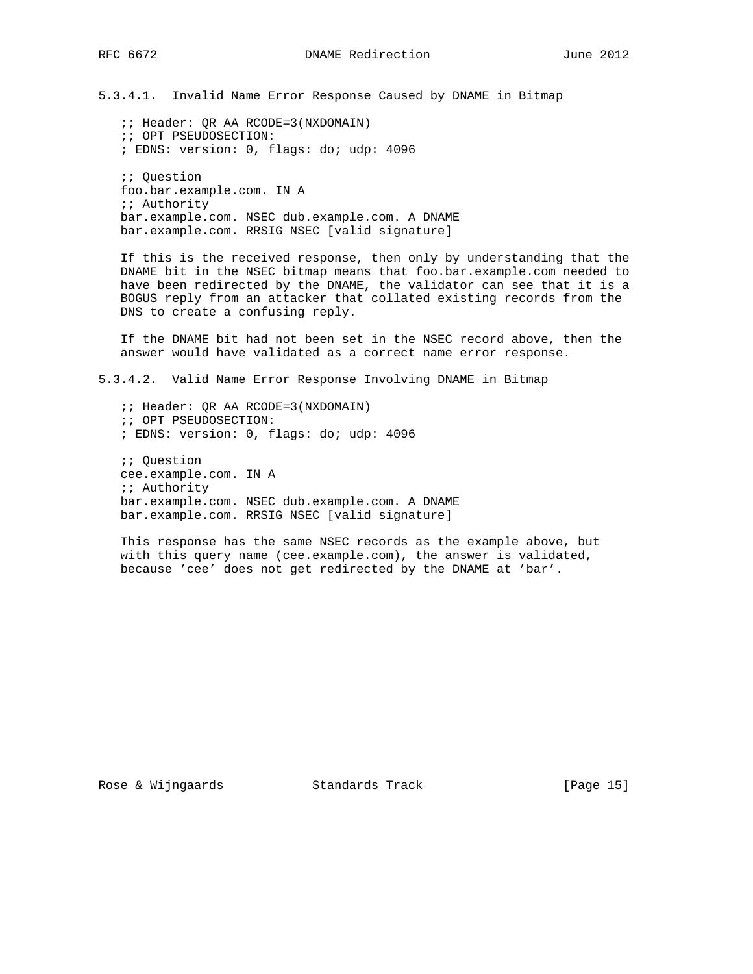5.3.4.1. Invalid Name Error Response Caused by DNAME in Bitmap

 ;; Header: QR AA RCODE=3(NXDOMAIN) ;; OPT PSEUDOSECTION: ; EDNS: version: 0, flags: do; udp: 4096

 ;; Question foo.bar.example.com. IN A ;; Authority bar.example.com. NSEC dub.example.com. A DNAME bar.example.com. RRSIG NSEC [valid signature]

 If this is the received response, then only by understanding that the DNAME bit in the NSEC bitmap means that foo.bar.example.com needed to have been redirected by the DNAME, the validator can see that it is a BOGUS reply from an attacker that collated existing records from the DNS to create a confusing reply.

 If the DNAME bit had not been set in the NSEC record above, then the answer would have validated as a correct name error response.

5.3.4.2. Valid Name Error Response Involving DNAME in Bitmap

 ;; Header: QR AA RCODE=3(NXDOMAIN) ;; OPT PSEUDOSECTION: ; EDNS: version: 0, flags: do; udp: 4096

 ;; Question cee.example.com. IN A ;; Authority bar.example.com. NSEC dub.example.com. A DNAME bar.example.com. RRSIG NSEC [valid signature]

 This response has the same NSEC records as the example above, but with this query name (cee.example.com), the answer is validated, because 'cee' does not get redirected by the DNAME at 'bar'.

Rose & Wijngaards Standards Track [Page 15]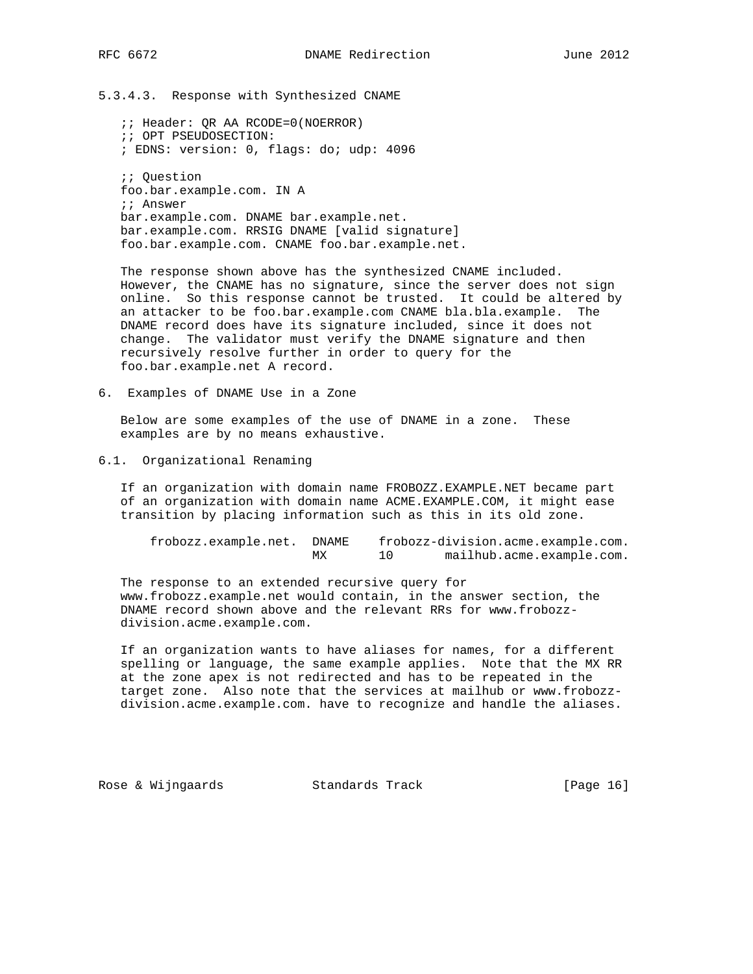5.3.4.3. Response with Synthesized CNAME

 ;; Header: QR AA RCODE=0(NOERROR) ;; OPT PSEUDOSECTION: ; EDNS: version: 0, flags: do; udp: 4096 ;; Question foo.bar.example.com. IN A ;; Answer bar.example.com. DNAME bar.example.net. bar.example.com. RRSIG DNAME [valid signature] foo.bar.example.com. CNAME foo.bar.example.net.

 The response shown above has the synthesized CNAME included. However, the CNAME has no signature, since the server does not sign online. So this response cannot be trusted. It could be altered by an attacker to be foo.bar.example.com CNAME bla.bla.example. The DNAME record does have its signature included, since it does not change. The validator must verify the DNAME signature and then recursively resolve further in order to query for the foo.bar.example.net A record.

6. Examples of DNAME Use in a Zone

 Below are some examples of the use of DNAME in a zone. These examples are by no means exhaustive.

6.1. Organizational Renaming

 If an organization with domain name FROBOZZ.EXAMPLE.NET became part of an organization with domain name ACME.EXAMPLE.COM, it might ease transition by placing information such as this in its old zone.

| frobozz.example.net. DNAME |    | frobozz-division.acme.example.com. |
|----------------------------|----|------------------------------------|
|                            | МX | mailhub.acme.example.com.          |

 The response to an extended recursive query for www.frobozz.example.net would contain, in the answer section, the DNAME record shown above and the relevant RRs for www.frobozz division.acme.example.com.

 If an organization wants to have aliases for names, for a different spelling or language, the same example applies. Note that the MX RR at the zone apex is not redirected and has to be repeated in the target zone. Also note that the services at mailhub or www.frobozz division.acme.example.com. have to recognize and handle the aliases.

Rose & Wijngaards Standards Track [Page 16]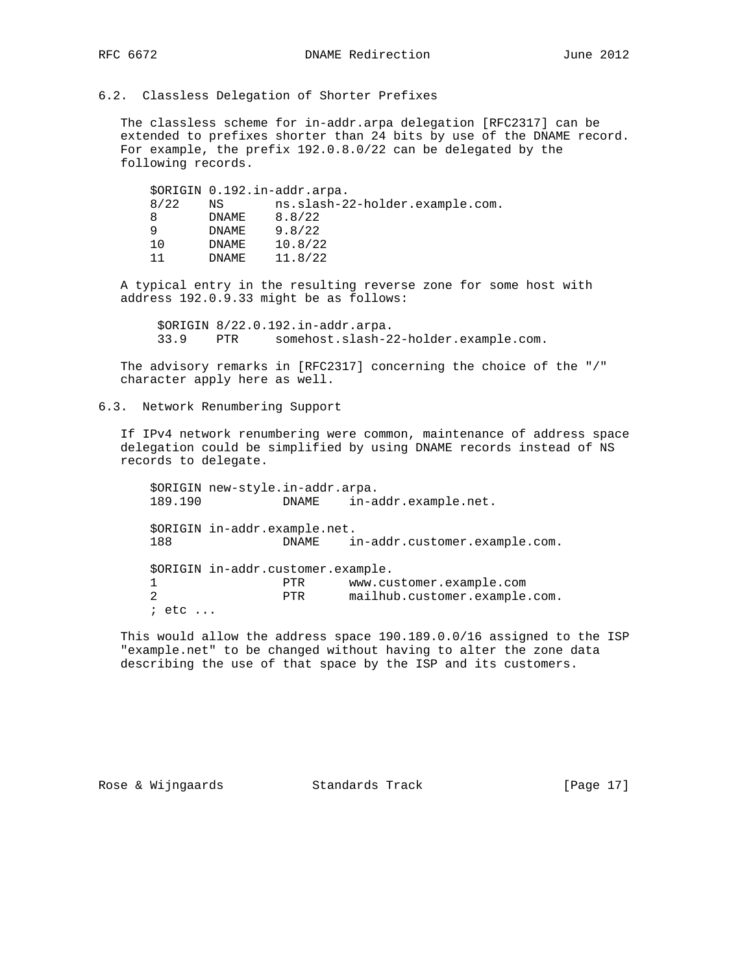#### 6.2. Classless Delegation of Shorter Prefixes

 The classless scheme for in-addr.arpa delegation [RFC2317] can be extended to prefixes shorter than 24 bits by use of the DNAME record. For example, the prefix 192.0.8.0/22 can be delegated by the following records.

|   |      |        | \$ORIGIN 0.192.in-addr.arpa.    |
|---|------|--------|---------------------------------|
|   | 8/22 | NS     | ns.slash-22-holder.example.com. |
| 8 |      | DNAME  | 8.8/22                          |
| q |      | DNAME  | 9.8/22                          |
|   | 10   | DNAME  | 10.8/22                         |
|   | 11   | DNAME. | 11.8/22                         |

 A typical entry in the resulting reverse zone for some host with address 192.0.9.33 might be as follows:

 \$ORIGIN 8/22.0.192.in-addr.arpa. 33.9 PTR somehost.slash-22-holder.example.com.

 The advisory remarks in [RFC2317] concerning the choice of the "/" character apply here as well.

6.3. Network Renumbering Support

 If IPv4 network renumbering were common, maintenance of address space delegation could be simplified by using DNAME records instead of NS records to delegate.

 \$ORIGIN new-style.in-addr.arpa. 189.190 DNAME in-addr.example.net. \$ORIGIN in-addr.example.net. 188 DNAME in-addr.customer.example.com. \$ORIGIN in-addr.customer.example. 1 PTR www.customer.example.com 2 PTR mailhub.customer.example.com. ; etc ...

 This would allow the address space 190.189.0.0/16 assigned to the ISP "example.net" to be changed without having to alter the zone data describing the use of that space by the ISP and its customers.

Rose & Wijngaards Standards Track [Page 17]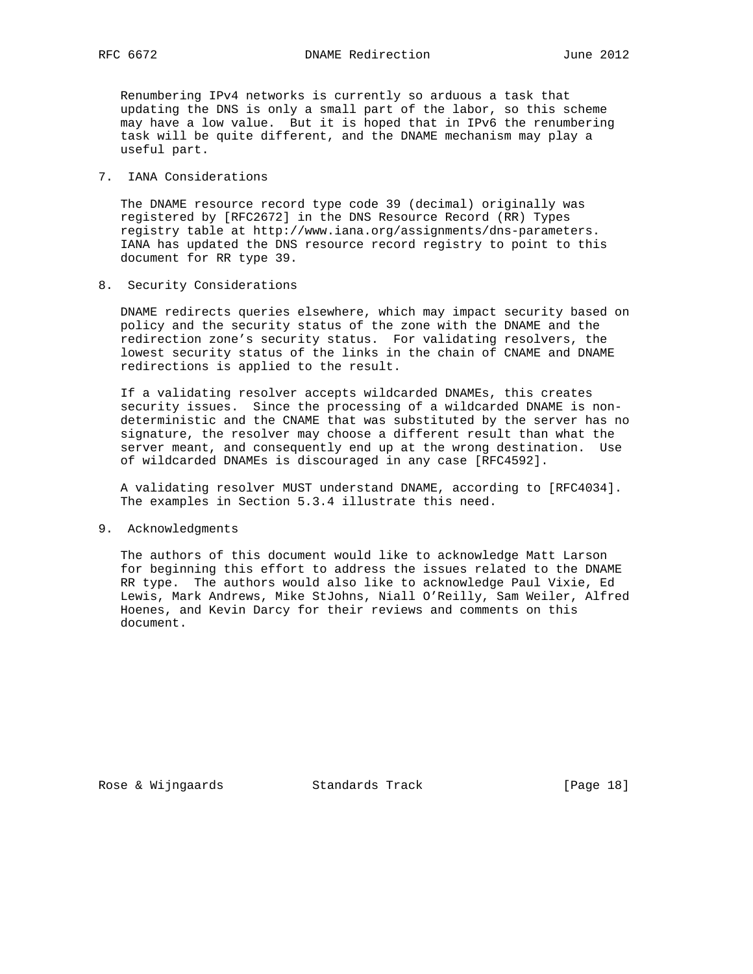RFC 6672 DNAME Redirection June 2012

 Renumbering IPv4 networks is currently so arduous a task that updating the DNS is only a small part of the labor, so this scheme may have a low value. But it is hoped that in IPv6 the renumbering task will be quite different, and the DNAME mechanism may play a useful part.

#### 7. IANA Considerations

 The DNAME resource record type code 39 (decimal) originally was registered by [RFC2672] in the DNS Resource Record (RR) Types registry table at http://www.iana.org/assignments/dns-parameters. IANA has updated the DNS resource record registry to point to this document for RR type 39.

8. Security Considerations

 DNAME redirects queries elsewhere, which may impact security based on policy and the security status of the zone with the DNAME and the redirection zone's security status. For validating resolvers, the lowest security status of the links in the chain of CNAME and DNAME redirections is applied to the result.

 If a validating resolver accepts wildcarded DNAMEs, this creates security issues. Since the processing of a wildcarded DNAME is non deterministic and the CNAME that was substituted by the server has no signature, the resolver may choose a different result than what the server meant, and consequently end up at the wrong destination. Use of wildcarded DNAMEs is discouraged in any case [RFC4592].

 A validating resolver MUST understand DNAME, according to [RFC4034]. The examples in Section 5.3.4 illustrate this need.

9. Acknowledgments

 The authors of this document would like to acknowledge Matt Larson for beginning this effort to address the issues related to the DNAME RR type. The authors would also like to acknowledge Paul Vixie, Ed Lewis, Mark Andrews, Mike StJohns, Niall O'Reilly, Sam Weiler, Alfred Hoenes, and Kevin Darcy for their reviews and comments on this document.

Rose & Wijngaards Standards Track [Page 18]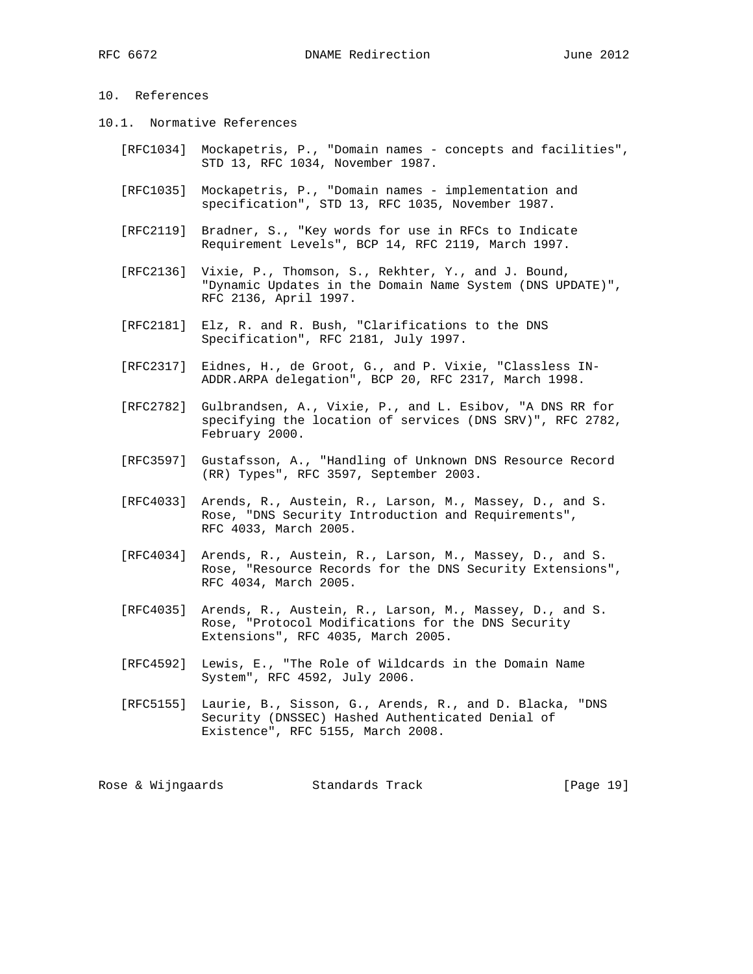## 10. References

- 10.1. Normative References
	- [RFC1034] Mockapetris, P., "Domain names concepts and facilities", STD 13, RFC 1034, November 1987.
	- [RFC1035] Mockapetris, P., "Domain names implementation and specification", STD 13, RFC 1035, November 1987.
	- [RFC2119] Bradner, S., "Key words for use in RFCs to Indicate Requirement Levels", BCP 14, RFC 2119, March 1997.
	- [RFC2136] Vixie, P., Thomson, S., Rekhter, Y., and J. Bound, "Dynamic Updates in the Domain Name System (DNS UPDATE)", RFC 2136, April 1997.
	- [RFC2181] Elz, R. and R. Bush, "Clarifications to the DNS Specification", RFC 2181, July 1997.
	- [RFC2317] Eidnes, H., de Groot, G., and P. Vixie, "Classless IN- ADDR.ARPA delegation", BCP 20, RFC 2317, March 1998.
	- [RFC2782] Gulbrandsen, A., Vixie, P., and L. Esibov, "A DNS RR for specifying the location of services (DNS SRV)", RFC 2782, February 2000.
	- [RFC3597] Gustafsson, A., "Handling of Unknown DNS Resource Record (RR) Types", RFC 3597, September 2003.
	- [RFC4033] Arends, R., Austein, R., Larson, M., Massey, D., and S. Rose, "DNS Security Introduction and Requirements", RFC 4033, March 2005.
	- [RFC4034] Arends, R., Austein, R., Larson, M., Massey, D., and S. Rose, "Resource Records for the DNS Security Extensions", RFC 4034, March 2005.
	- [RFC4035] Arends, R., Austein, R., Larson, M., Massey, D., and S. Rose, "Protocol Modifications for the DNS Security Extensions", RFC 4035, March 2005.
	- [RFC4592] Lewis, E., "The Role of Wildcards in the Domain Name System", RFC 4592, July 2006.
	- [RFC5155] Laurie, B., Sisson, G., Arends, R., and D. Blacka, "DNS Security (DNSSEC) Hashed Authenticated Denial of Existence", RFC 5155, March 2008.

Rose & Wijngaards Standards Track [Page 19]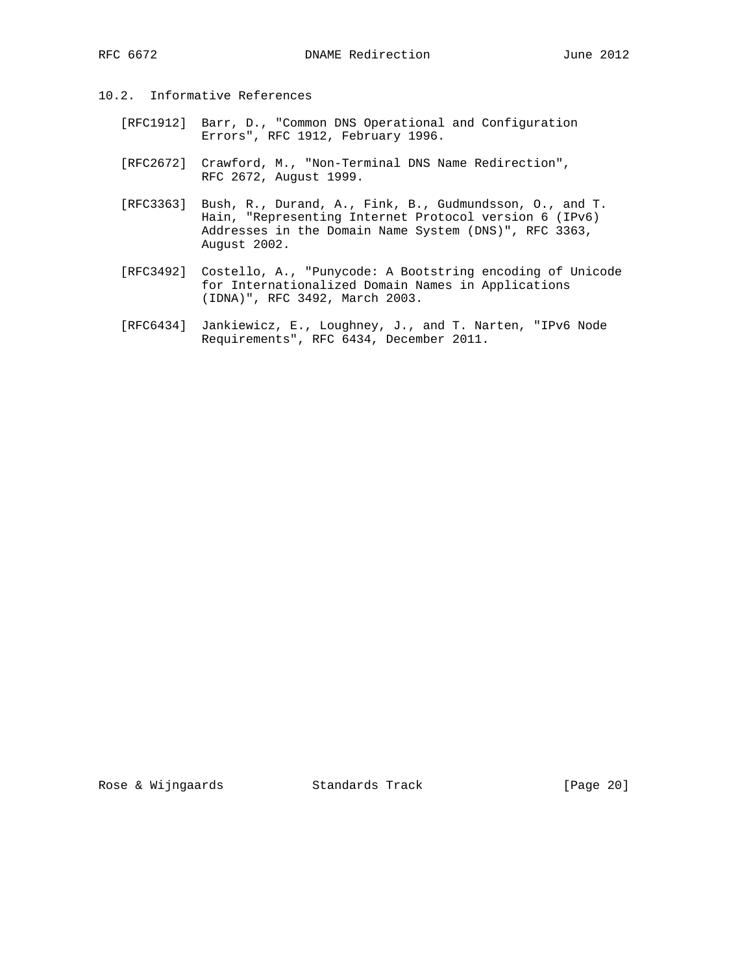- 10.2. Informative References
	- [RFC1912] Barr, D., "Common DNS Operational and Configuration Errors", RFC 1912, February 1996.
	- [RFC2672] Crawford, M., "Non-Terminal DNS Name Redirection", RFC 2672, August 1999.
	- [RFC3363] Bush, R., Durand, A., Fink, B., Gudmundsson, O., and T. Hain, "Representing Internet Protocol version 6 (IPv6) Addresses in the Domain Name System (DNS)", RFC 3363, August 2002.
	- [RFC3492] Costello, A., "Punycode: A Bootstring encoding of Unicode for Internationalized Domain Names in Applications (IDNA)", RFC 3492, March 2003.
	- [RFC6434] Jankiewicz, E., Loughney, J., and T. Narten, "IPv6 Node Requirements", RFC 6434, December 2011.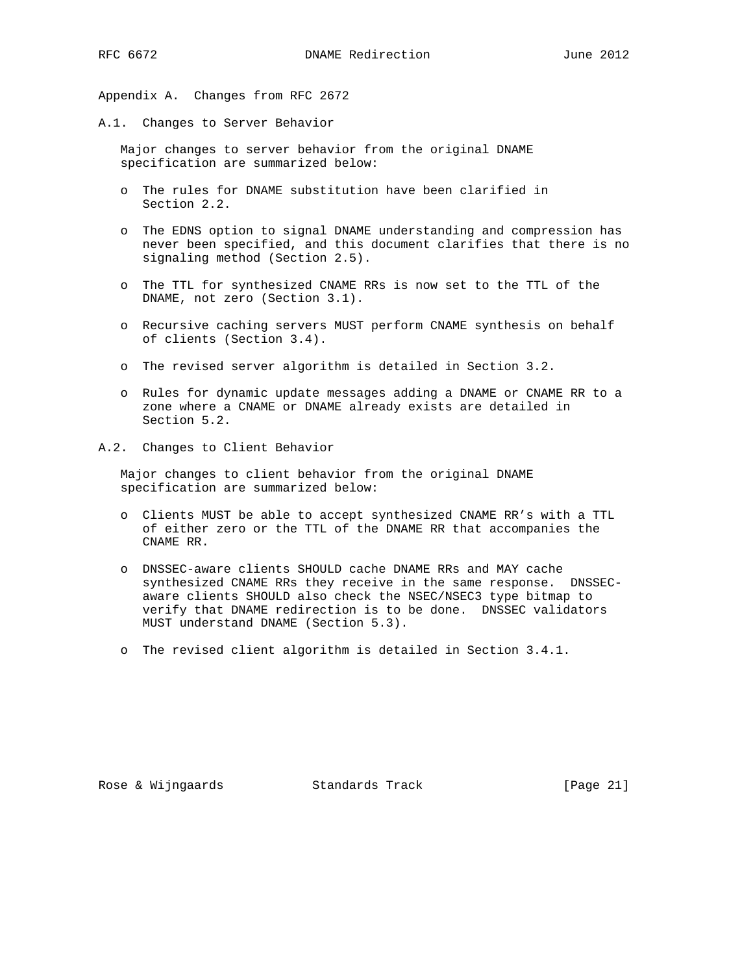Appendix A. Changes from RFC 2672

A.1. Changes to Server Behavior

 Major changes to server behavior from the original DNAME specification are summarized below:

- o The rules for DNAME substitution have been clarified in Section 2.2.
- o The EDNS option to signal DNAME understanding and compression has never been specified, and this document clarifies that there is no signaling method (Section 2.5).
- o The TTL for synthesized CNAME RRs is now set to the TTL of the DNAME, not zero (Section 3.1).
- o Recursive caching servers MUST perform CNAME synthesis on behalf of clients (Section 3.4).
- o The revised server algorithm is detailed in Section 3.2.
- o Rules for dynamic update messages adding a DNAME or CNAME RR to a zone where a CNAME or DNAME already exists are detailed in Section 5.2.
- A.2. Changes to Client Behavior

 Major changes to client behavior from the original DNAME specification are summarized below:

- o Clients MUST be able to accept synthesized CNAME RR's with a TTL of either zero or the TTL of the DNAME RR that accompanies the CNAME RR.
- o DNSSEC-aware clients SHOULD cache DNAME RRs and MAY cache synthesized CNAME RRs they receive in the same response. DNSSEC aware clients SHOULD also check the NSEC/NSEC3 type bitmap to verify that DNAME redirection is to be done. DNSSEC validators MUST understand DNAME (Section 5.3).
- o The revised client algorithm is detailed in Section 3.4.1.

Rose & Wijngaards Standards Track [Page 21]